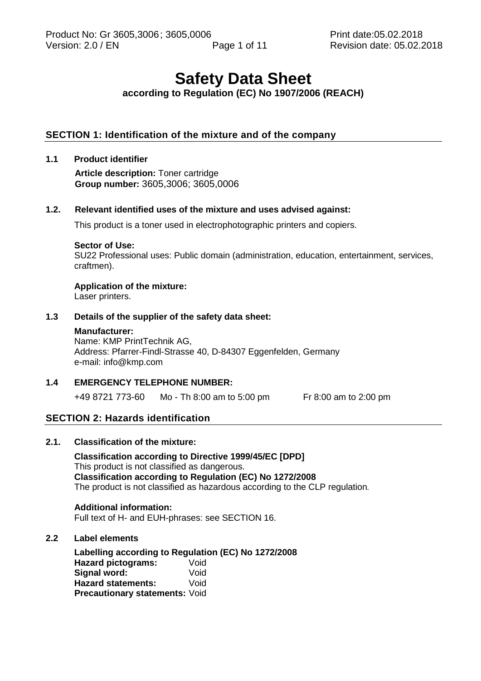# **Safety Data Sheet**

# **according to Regulation (EC) No 1907/2006 (REACH)**

# **SECTION 1: Identification of the mixture and of the company**

## **1.1 Product identifier**

**Article description:** Toner cartridge **Group number:** 3605,3006; 3605,0006

#### **1.2. Relevant identified uses of the mixture and uses advised against:**

This product is a toner used in electrophotographic printers and copiers.

#### **Sector of Use:**

SU22 Professional uses: Public domain (administration, education, entertainment, services, craftmen).

#### **Application of the mixture:**

Laser printers.

## **1.3 Details of the supplier of the safety data sheet:**

#### **Manufacturer:**

Name: KMP PrintTechnik AG, Address: Pfarrer-Findl-Strasse 40, D-84307 Eggenfelden, Germany e-mail: info@kmp.com

#### **1.4 EMERGENCY TELEPHONE NUMBER:**

+49 8721 773-60 Mo - Th 8:00 am to 5:00 pm Fr 8:00 am to 2:00 pm

# **SECTION 2: Hazards identification**

## **2.1. Classification of the mixture:**

**Classification according to Directive 1999/45/EC [DPD]** This product is not classified as dangerous. **Classification according to Regulation (EC) No 1272/2008** The product is not classified as hazardous according to the CLP regulation*.*

#### **Additional information:**

Full text of H- and EUH-phrases: see SECTION 16.

#### **2.2 Label elements**

**Labelling according to Regulation (EC) No 1272/2008 Hazard pictograms:** Void<br>**Signal word:** Void **Signal word: Hazard statements:** Void **Precautionary statements:** Void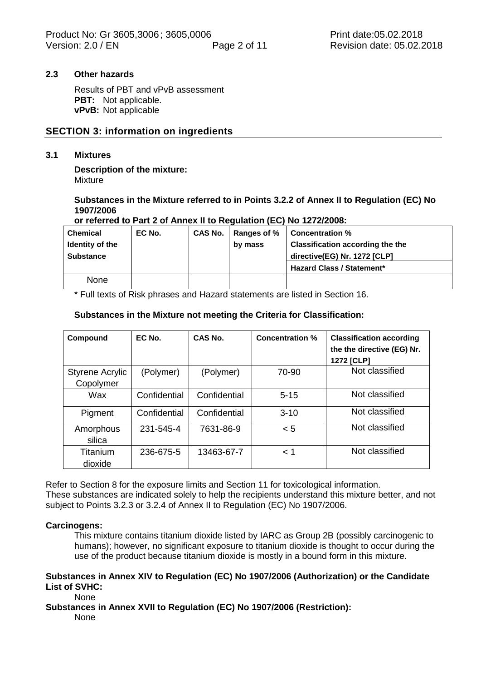#### **2.3 Other hazards**

Results of PBT and vPvB assessment **PBT:** Not applicable. **vPvB:** Not applicable

## **SECTION 3: information on ingredients**

#### **3.1 Mixtures**

**Description of the mixture:** Mixture

#### **Substances in the Mixture referred to in Points 3.2.2 of Annex II to Regulation (EC) No 1907/2006**

#### **or referred to Part 2 of Annex II to Regulation (EC) No 1272/2008:**

| <b>Chemical</b>  | EC No. | CAS No.   Ranges of % | <b>Concentration %</b>                  |
|------------------|--------|-----------------------|-----------------------------------------|
| Identity of the  |        | by mass               | <b>Classification according the the</b> |
| <b>Substance</b> |        |                       | directive(EG) Nr. 1272 [CLP]            |
|                  |        |                       | <b>Hazard Class / Statement*</b>        |
| None             |        |                       |                                         |

\* Full texts of Risk phrases and Hazard statements are listed in Section 16.

#### **Substances in the Mixture not meeting the Criteria for Classification:**

| Compound                            | EC No.       | CAS No.      | <b>Concentration %</b> | <b>Classification according</b><br>the the directive (EG) Nr.<br><b>1272 [CLP]</b> |
|-------------------------------------|--------------|--------------|------------------------|------------------------------------------------------------------------------------|
| <b>Styrene Acrylic</b><br>Copolymer | (Polymer)    | (Polymer)    | 70-90                  | Not classified                                                                     |
| Wax                                 | Confidential | Confidential | $5 - 15$               | Not classified                                                                     |
| Pigment                             | Confidential | Confidential | $3 - 10$               | Not classified                                                                     |
| Amorphous<br>silica                 | 231-545-4    | 7631-86-9    | $\leq 5$               | Not classified                                                                     |
| Titanium<br>dioxide                 | 236-675-5    | 13463-67-7   | $<$ 1                  | Not classified                                                                     |

Refer to Section 8 for the exposure limits and Section 11 for toxicological information. These substances are indicated solely to help the recipients understand this mixture better, and not subject to Points 3.2.3 or 3.2.4 of Annex II to Regulation (EC) No 1907/2006.

#### **Carcinogens:**

This mixture contains titanium dioxide listed by IARC as Group 2B (possibly carcinogenic to humans); however, no significant exposure to titanium dioxide is thought to occur during the use of the product because titanium dioxide is mostly in a bound form in this mixture.

#### **Substances in Annex XIV to Regulation (EC) No 1907/2006 (Authorization) or the Candidate List of SVHC:**

None

# **Substances in Annex XVII to Regulation (EC) No 1907/2006 (Restriction):**

None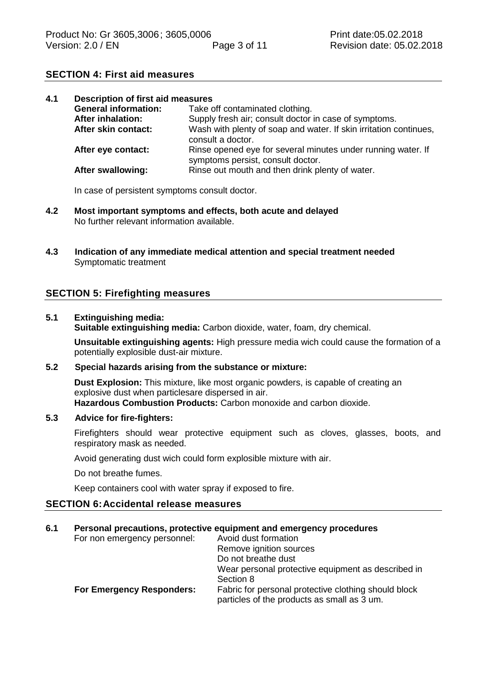# **SECTION 4: First aid measures**

| 4.1                      |                             | <b>Description of first aid measures</b>                                                          |  |  |  |
|--------------------------|-----------------------------|---------------------------------------------------------------------------------------------------|--|--|--|
|                          | <b>General information:</b> | Take off contaminated clothing.                                                                   |  |  |  |
| <b>After inhalation:</b> |                             | Supply fresh air; consult doctor in case of symptoms.                                             |  |  |  |
|                          | After skin contact:         | Wash with plenty of soap and water. If skin irritation continues,<br>consult a doctor.            |  |  |  |
|                          | After eye contact:          | Rinse opened eye for several minutes under running water. If<br>symptoms persist, consult doctor. |  |  |  |
|                          | After swallowing:           | Rinse out mouth and then drink plenty of water.                                                   |  |  |  |

In case of persistent symptoms consult doctor.

- **4.2 Most important symptoms and effects, both acute and delayed** No further relevant information available.
- **4.3 Indication of any immediate medical attention and special treatment needed** Symptomatic treatment

# **SECTION 5: Firefighting measures**

#### **5.1 Extinguishing media:**

**Suitable extinguishing media:** Carbon dioxide, water, foam, dry chemical.

**Unsuitable extinguishing agents:** High pressure media wich could cause the formation of a potentially explosible dust-air mixture.

## **5.2 Special hazards arising from the substance or mixture:**

**Dust Explosion:** This mixture, like most organic powders, is capable of creating an explosive dust when particlesare dispersed in air. **Hazardous Combustion Products:** Carbon monoxide and carbon dioxide.

#### **5.3 Advice for fire-fighters:**

Firefighters should wear protective equipment such as cloves, glasses, boots, and respiratory mask as needed.

Avoid generating dust wich could form explosible mixture with air.

Do not breathe fumes.

Keep containers cool with water spray if exposed to fire.

# **SECTION 6:Accidental release measures**

# **6.1 Personal precautions, protective equipment and emergency procedures**

| For non emergency personnel:     | Avoid dust formation                                                                                |
|----------------------------------|-----------------------------------------------------------------------------------------------------|
|                                  | Remove ignition sources                                                                             |
|                                  | Do not breathe dust                                                                                 |
|                                  | Wear personal protective equipment as described in                                                  |
|                                  | Section 8                                                                                           |
| <b>For Emergency Responders:</b> | Fabric for personal protective clothing should block<br>particles of the products as small as 3 um. |
|                                  |                                                                                                     |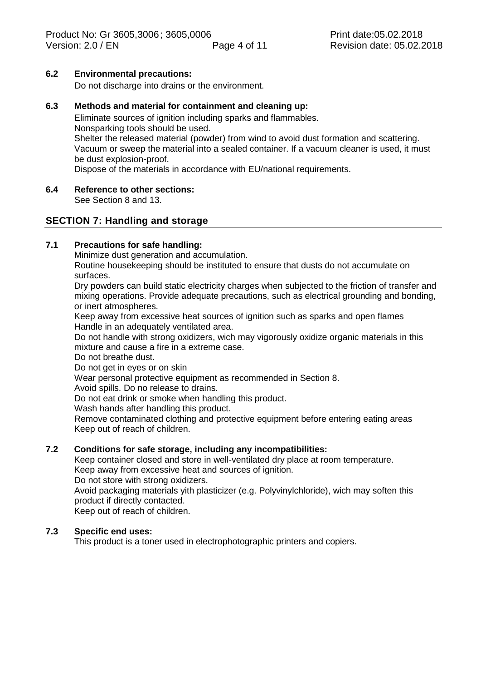#### **6.2 Environmental precautions:**

Do not discharge into drains or the environment.

#### **6.3 Methods and material for containment and cleaning up:**

Eliminate sources of ignition including sparks and flammables. Nonsparking tools should be used. Shelter the released material (powder) from wind to avoid dust formation and scattering. Vacuum or sweep the material into a sealed container. If a vacuum cleaner is used, it must be dust explosion-proof.

Dispose of the materials in accordance with EU/national requirements.

# **6.4 Reference to other sections:**

See Section 8 and 13.

## **SECTION 7: Handling and storage**

# **7.1 Precautions for safe handling:**

Minimize dust generation and accumulation.

Routine housekeeping should be instituted to ensure that dusts do not accumulate on surfaces.

Dry powders can build static electricity charges when subjected to the friction of transfer and mixing operations. Provide adequate precautions, such as electrical grounding and bonding, or inert atmospheres.

Keep away from excessive heat sources of ignition such as sparks and open flames Handle in an adequately ventilated area.

Do not handle with strong oxidizers, wich may vigorously oxidize organic materials in this mixture and cause a fire in a extreme case.

Do not breathe dust.

Do not get in eyes or on skin

Wear personal protective equipment as recommended in Section 8.

Avoid spills. Do no release to drains.

Do not eat drink or smoke when handling this product.

Wash hands after handling this product.

Remove contaminated clothing and protective equipment before entering eating areas Keep out of reach of children.

#### **7.2 Conditions for safe storage, including any incompatibilities:**

Keep container closed and store in well-ventilated dry place at room temperature. Keep away from excessive heat and sources of ignition.

Do not store with strong oxidizers.

Avoid packaging materials yith plasticizer (e.g. Polyvinylchloride), wich may soften this product if directly contacted.

Keep out of reach of children.

## **7.3 Specific end uses:**

This product is a toner used in electrophotographic printers and copiers.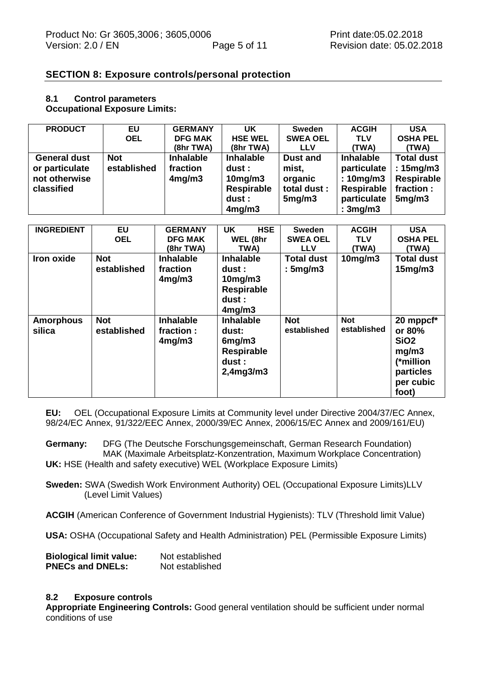## **SECTION 8: Exposure controls/personal protection**

#### **8.1 Control parameters Occupational Exposure Limits:**

| <b>PRODUCT</b>      | EU          | <b>GERMANY</b>   | <b>UK</b>        | <b>Sweden</b>   | <b>ACGIH</b>     | <b>USA</b>        |
|---------------------|-------------|------------------|------------------|-----------------|------------------|-------------------|
|                     | <b>OEL</b>  | <b>DFG MAK</b>   | <b>HSE WEL</b>   | <b>SWEA OEL</b> | <b>TLV</b>       | <b>OSHA PEL</b>   |
|                     |             | (8hr TWA)        | (8hr TWA)        | <b>LLV</b>      | (TWA)            | (TWA)             |
| <b>General dust</b> | <b>Not</b>  | <b>Inhalable</b> | <b>Inhalable</b> | <b>Dust and</b> | <b>Inhalable</b> | <b>Total dust</b> |
| or particulate      | established | fraction         | dust :           | mist,           | particulate      | : 15mg/m3         |
| not otherwise       |             | 4mg/m3           | $10$ mg/m $3$    | organic         | : 10mg/m3        | <b>Respirable</b> |
| classified          |             |                  | Respirable       | total dust :    | Respirable       | fraction :        |
|                     |             |                  | dust :           | 5mg/m3          | particulate      | 5mg/m3            |
|                     |             |                  | 4mg/m3           |                 | :3mg/m3          |                   |

| <b>INGREDIENT</b>          | EU                        | <b>GERMANY</b>                           | <b>HSE</b><br><b>UK</b>                                                              | <b>Sweden</b>                | <b>ACGIH</b>              | <b>USA</b>                                                                                       |
|----------------------------|---------------------------|------------------------------------------|--------------------------------------------------------------------------------------|------------------------------|---------------------------|--------------------------------------------------------------------------------------------------|
|                            | <b>OEL</b>                | <b>DFG MAK</b>                           | WEL (8hr                                                                             | <b>SWEA OEL</b>              | <b>TLV</b>                | <b>OSHA PEL</b>                                                                                  |
|                            |                           | (8hr TWA)                                | TWA)                                                                                 | <b>LLV</b>                   | (TWA)                     | (TWA)                                                                                            |
| Iron oxide                 | <b>Not</b><br>established | <b>Inhalable</b><br>fraction<br>4mg/m3   | <b>Inhalable</b><br>dust :<br>$10$ mg/m $3$<br><b>Respirable</b><br>dust :<br>4mg/m3 | <b>Total dust</b><br>:5mg/m3 | $10$ mg/m $3$             | <b>Total dust</b><br>15mg/m3                                                                     |
| <b>Amorphous</b><br>silica | <b>Not</b><br>established | <b>Inhalable</b><br>fraction :<br>4mg/m3 | <b>Inhalable</b><br>dust:<br>6mg/m3<br><b>Respirable</b><br>dust :<br>2,4mg3/m3      | <b>Not</b><br>established    | <b>Not</b><br>established | 20 mppcf*<br>or 80%<br>SiO <sub>2</sub><br>mg/m3<br>(*million<br>particles<br>per cubic<br>foot) |

**EU:** OEL (Occupational Exposure Limits at Community level under Directive 2004/37/EC Annex, 98/24/EC Annex, 91/322/EEC Annex, 2000/39/EC Annex, 2006/15/EC Annex and 2009/161/EU)

**Germany:** DFG (The Deutsche Forschungsgemeinschaft, German Research Foundation) MAK (Maximale Arbeitsplatz-Konzentration, Maximum Workplace Concentration) **UK:** HSE (Health and safety executive) WEL (Workplace Exposure Limits)

**Sweden:** SWA (Swedish Work Environment Authority) OEL (Occupational Exposure Limits)LLV (Level Limit Values)

**ACGIH** (American Conference of Government Industrial Hygienists): TLV (Threshold limit Value)

**USA:** OSHA (Occupational Safety and Health Administration) PEL (Permissible Exposure Limits)

| <b>Biological limit value:</b> | Not established |
|--------------------------------|-----------------|
| <b>PNECs and DNELs:</b>        | Not established |

#### **8.2 Exposure controls**

**Appropriate Engineering Controls:** Good general ventilation should be sufficient under normal conditions of use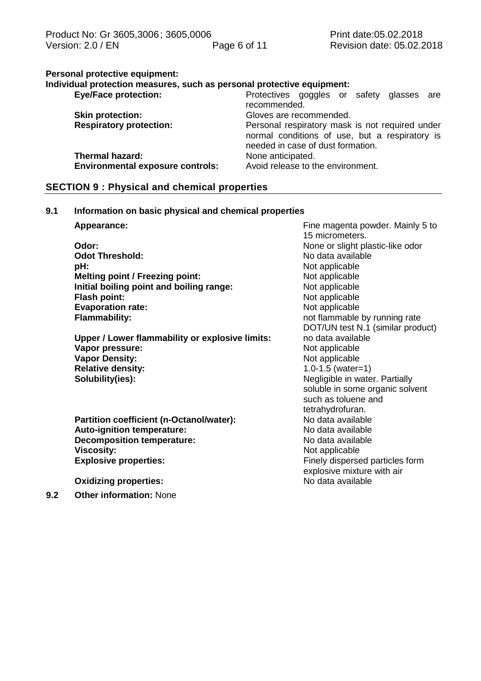# **Personal protective equipment:**

| Individual protection measures, such as personal protective equipment: |                                                                                                                                        |
|------------------------------------------------------------------------|----------------------------------------------------------------------------------------------------------------------------------------|
| <b>Eye/Face protection:</b>                                            | Protectives goggles or safety glasses are                                                                                              |
|                                                                        | recommended.                                                                                                                           |
| <b>Skin protection:</b>                                                | Gloves are recommended.                                                                                                                |
| <b>Respiratory protection:</b>                                         | Personal respiratory mask is not required under<br>normal conditions of use, but a respiratory is<br>needed in case of dust formation. |
| <b>Thermal hazard:</b>                                                 | None anticipated.                                                                                                                      |
| <b>Environmental exposure controls:</b>                                | Avoid release to the environment.                                                                                                      |

# **SECTION 9 : Physical and chemical properties**

# **9.1 Information on basic physical and chemical properties**

| Appearance:                                     | Fine magenta powder. Mainly 5 to<br>15 micrometers. |
|-------------------------------------------------|-----------------------------------------------------|
| Odor:                                           | None or slight plastic-like odor                    |
| <b>Odot Threshold:</b>                          | No data available                                   |
|                                                 |                                                     |
| pH:                                             | Not applicable                                      |
| <b>Melting point / Freezing point:</b>          | Not applicable                                      |
| Initial boiling point and boiling range:        | Not applicable                                      |
| <b>Flash point:</b>                             | Not applicable                                      |
| <b>Evaporation rate:</b>                        | Not applicable                                      |
| <b>Flammability:</b>                            | not flammable by running rate                       |
|                                                 | DOT/UN test N.1 (similar product)                   |
| Upper / Lower flammability or explosive limits: | no data available                                   |
| Vapor pressure:                                 | Not applicable                                      |
| <b>Vapor Density:</b>                           | Not applicable                                      |
| <b>Relative density:</b>                        | $1.0 - 1.5$ (water=1)                               |
| Solubility(ies):                                | Negligible in water. Partially                      |
|                                                 | soluble in some organic solvent                     |
|                                                 | such as toluene and                                 |
|                                                 | tetrahydrofuran.                                    |
| Partition coefficient (n-Octanol/water):        | No data available                                   |
| Auto-ignition temperature:                      | No data available                                   |
| <b>Decomposition temperature:</b>               | No data available                                   |
| <b>Viscosity:</b>                               | Not applicable                                      |
| <b>Explosive properties:</b>                    | Finely dispersed particles form                     |
|                                                 | explosive mixture with air                          |
| <b>Oxidizing properties:</b>                    | No data available                                   |
| Other information. None                         |                                                     |

**9.2 Other information:** None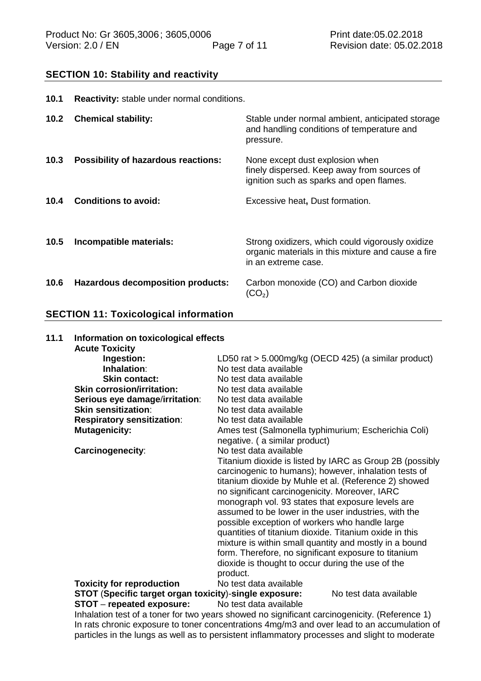## **SECTION 10: Stability and reactivity**

| 10.1 | <b>Reactivity:</b> stable under normal conditions. |                                                                                                                               |
|------|----------------------------------------------------|-------------------------------------------------------------------------------------------------------------------------------|
| 10.2 | <b>Chemical stability:</b>                         | Stable under normal ambient, anticipated storage<br>and handling conditions of temperature and<br>pressure.                   |
| 10.3 | <b>Possibility of hazardous reactions:</b>         | None except dust explosion when<br>finely dispersed. Keep away from sources of<br>ignition such as sparks and open flames.    |
| 10.4 | <b>Conditions to avoid:</b>                        | Excessive heat, Dust formation.                                                                                               |
| 10.5 | Incompatible materials:                            | Strong oxidizers, which could vigorously oxidize<br>organic materials in this mixture and cause a fire<br>in an extreme case. |
| 10.6 | Hazardous decomposition products:                  | Carbon monoxide (CO) and Carbon dioxide<br>$(\mathsf{CO}_2)$                                                                  |

#### **SECTION 11: Toxicological information**

#### **11.1 Information on toxicological effects Acute Toxicity Ingestion:** LD50 rat > 5.000mg/kg (OECD 425) (a similar product)<br> **Inhalation**: No test data available **Inhalation:** No test data available<br> **Skin contact:** No test data available No test data available<br>No test data available **Skin corrosion/irritation: Serious eye damage**/**irritation**: No test data available **Skin sensitization:** No test data available **Respiratory sensitization:** No test data available<br> **Mutagenicity:** Ames test (Salmonella Ames test (Salmonella typhimurium; Escherichia Coli) negative. ( a similar product) **Carcinogenecity:** No test data available Titanium dioxide is listed by IARC as Group 2B (possibly carcinogenic to humans); however, inhalation tests of titanium dioxide by Muhle et al. (Reference 2) showed no significant carcinogenicity. Moreover, IARC monograph vol. 93 states that exposure levels are assumed to be lower in the user industries, with the possible exception of workers who handle large quantities of titanium dioxide. Titanium oxide in this mixture is within small quantity and mostly in a bound form. Therefore, no significant exposure to titanium dioxide is thought to occur during the use of the product. **Toxicity for reproduction** No test data available **STOT** (**Specific target organ toxicity**)-**single exposure:** No test data available **STOT** – **repeated exposure:** No test data available Inhalation test of a toner for two years showed no significant carcinogenicity. (Reference 1)

In rats chronic exposure to toner concentrations 4mg/m3 and over lead to an accumulation of particles in the lungs as well as to persistent inflammatory processes and slight to moderate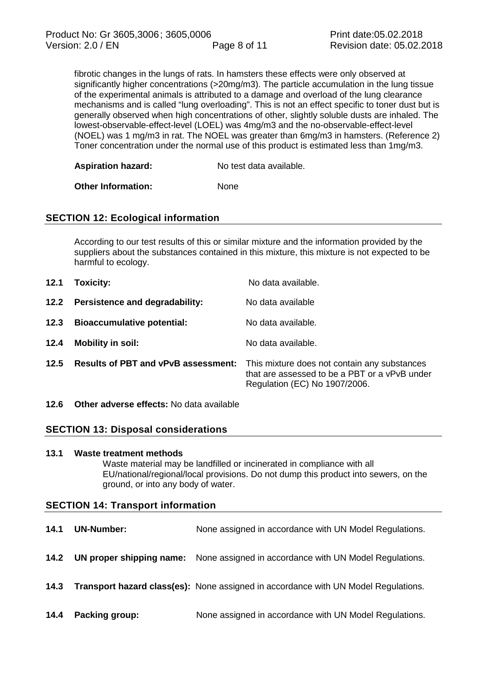fibrotic changes in the lungs of rats. In hamsters these effects were only observed at significantly higher concentrations (>20mg/m3). The particle accumulation in the lung tissue of the experimental animals is attributed to a damage and overload of the lung clearance mechanisms and is called "lung overloading". This is not an effect specific to toner dust but is generally observed when high concentrations of other, slightly soluble dusts are inhaled. The lowest-observable-effect-level (LOEL) was 4mg/m3 and the no-observable-effect-level (NOEL) was 1 mg/m3 in rat. The NOEL was greater than 6mg/m3 in hamsters. (Reference 2) Toner concentration under the normal use of this product is estimated less than 1mg/m3.

**Other Information:** None

# **SECTION 12: Ecological information**

According to our test results of this or similar mixture and the information provided by the suppliers about the substances contained in this mixture, this mixture is not expected to be harmful to ecology.

| 12.1 | Toxicity:                                  | No data available.                                                                                                             |
|------|--------------------------------------------|--------------------------------------------------------------------------------------------------------------------------------|
|      | 12.2 Persistence and degradability:        | No data available                                                                                                              |
| 12.3 | <b>Bioaccumulative potential:</b>          | No data available.                                                                                                             |
| 12.4 | <b>Mobility in soil:</b>                   | No data available.                                                                                                             |
| 12.5 | <b>Results of PBT and vPvB assessment:</b> | This mixture does not contain any substances<br>that are assessed to be a PBT or a vPvB under<br>Regulation (EC) No 1907/2006. |

**12.6 Other adverse effects:** No data available

# **SECTION 13: Disposal considerations**

# **13.1 Waste treatment methods** Waste material may be landfilled or incinerated in compliance with all EU/national/regional/local provisions. Do not dump this product into sewers, on the ground, or into any body of water.

# **SECTION 14: Transport information**

| 14.1 | <b>UN-Number:</b> | None assigned in accordance with UN Model Regulations.                                    |
|------|-------------------|-------------------------------------------------------------------------------------------|
| 14.2 |                   | <b>UN proper shipping name:</b> None assigned in accordance with UN Model Regulations.    |
| 14.3 |                   | <b>Transport hazard class(es):</b> None assigned in accordance with UN Model Regulations. |
| 14.4 | Packing group:    | None assigned in accordance with UN Model Regulations.                                    |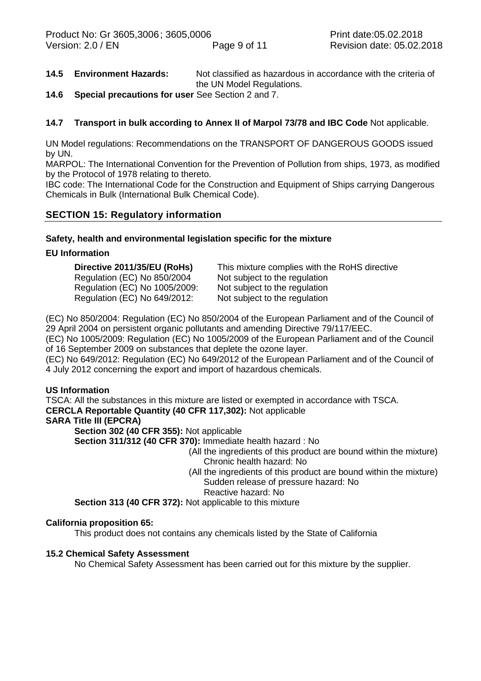- **14.5 Environment Hazards:** Not classified as hazardous in accordance with the criteria of the UN Model Regulations.
- **14.6 Special precautions for user** See Section 2 and 7.

# **14.7 Transport in bulk according to Annex II of Marpol 73/78 and IBC Code** Not applicable.

UN Model regulations: Recommendations on the TRANSPORT OF DANGEROUS GOODS issued by UN.

MARPOL: The International Convention for the Prevention of Pollution from ships, 1973, as modified by the Protocol of 1978 relating to thereto.

IBC code: The International Code for the Construction and Equipment of Ships carrying Dangerous Chemicals in Bulk (International Bulk Chemical Code).

# **SECTION 15: Regulatory information**

#### **Safety, health and environmental legislation specific for the mixture**

#### **EU Information**

| Directive 2011/35/EU (RoHs)   | This mixture complies with the RoHS directive |
|-------------------------------|-----------------------------------------------|
| Regulation (EC) No 850/2004   | Not subject to the regulation                 |
| Regulation (EC) No 1005/2009: | Not subject to the regulation                 |
| Regulation (EC) No 649/2012:  | Not subject to the regulation                 |

(EC) No 850/2004: Regulation (EC) No 850/2004 of the European Parliament and of the Council of 29 April 2004 on persistent organic pollutants and amending Directive 79/117/EEC.

(EC) No 1005/2009: Regulation (EC) No 1005/2009 of the European Parliament and of the Council of 16 September 2009 on substances that deplete the ozone layer.

(EC) No 649/2012: Regulation (EC) No 649/2012 of the European Parliament and of the Council of 4 July 2012 concerning the export and import of hazardous chemicals.

#### **US Information**

TSCA: All the substances in this mixture are listed or exempted in accordance with TSCA.

#### **CERCLA Reportable Quantity (40 CFR 117,302):** Not applicable

#### **SARA Title III (EPCRA)**

**Section 302 (40 CFR 355):** Not applicable

**Section 311/312 (40 CFR 370):** Immediate health hazard : No

- (All the ingredients of this product are bound within the mixture) Chronic health hazard: No
- (All the ingredients of this product are bound within the mixture) Sudden release of pressure hazard: No

Reactive hazard: No

**Section 313 (40 CFR 372):** Not applicable to this mixture

#### **California proposition 65:**

This product does not contains any chemicals listed by the State of California

#### **15.2 Chemical Safety Assessment**

No Chemical Safety Assessment has been carried out for this mixture by the supplier.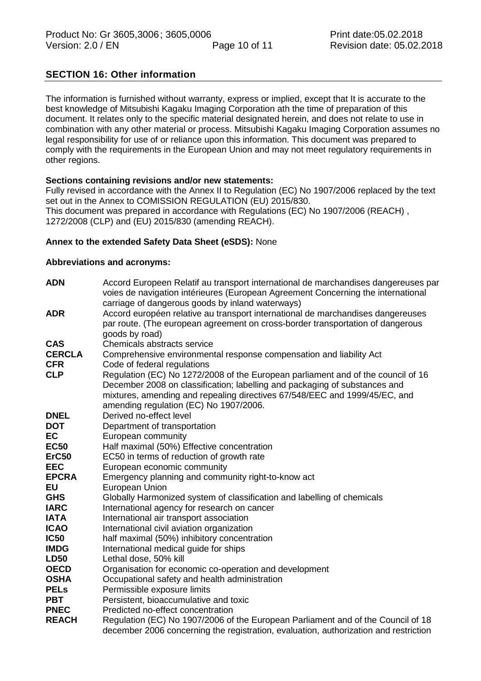# **SECTION 16: Other information**

The information is furnished without warranty, express or implied, except that It is accurate to the best knowledge of Mitsubishi Kagaku Imaging Corporation ath the time of preparation of this document. It relates only to the specific material designated herein, and does not relate to use in combination with any other material or process. Mitsubishi Kagaku Imaging Corporation assumes no legal responsibility for use of or reliance upon this information. This document was prepared to comply with the requirements in the European Union and may not meet regulatory requirements in other regions.

#### **Sections containing revisions and/or new statements:**

Fully revised in accordance with the Annex II to Regulation (EC) No 1907/2006 replaced by the text set out in the Annex to COMISSION REGULATION (EU) 2015/830. This document was prepared in accordance with Regulations (EC) No 1907/2006 (REACH) , 1272/2008 (CLP) and (EU) 2015/830 (amending REACH).

#### **Annex to the extended Safety Data Sheet (eSDS):** None

#### **Abbreviations and acronyms:**

| <b>ADN</b>    | Accord Europeen Relatif au transport international de marchandises dangereuses par<br>voies de navigation intérieures (European Agreement Concerning the international<br>carriage of dangerous goods by inland waterways) |
|---------------|----------------------------------------------------------------------------------------------------------------------------------------------------------------------------------------------------------------------------|
| <b>ADR</b>    | Accord européen relative au transport international de marchandises dangereuses<br>par route. (The european agreement on cross-border transportation of dangerous<br>goods by road)                                        |
| <b>CAS</b>    | Chemicals abstracts service                                                                                                                                                                                                |
| <b>CERCLA</b> | Comprehensive environmental response compensation and liability Act                                                                                                                                                        |
| <b>CFR</b>    | Code of federal regulations                                                                                                                                                                                                |
| <b>CLP</b>    | Regulation (EC) No 1272/2008 of the European parliament and of the council of 16                                                                                                                                           |
|               | December 2008 on classification; labelling and packaging of substances and                                                                                                                                                 |
|               | mixtures, amending and repealing directives 67/548/EEC and 1999/45/EC, and                                                                                                                                                 |
|               | amending regulation (EC) No 1907/2006.                                                                                                                                                                                     |
| <b>DNEL</b>   | Derived no-effect level                                                                                                                                                                                                    |
| <b>DOT</b>    | Department of transportation                                                                                                                                                                                               |
| <b>EC</b>     | European community                                                                                                                                                                                                         |
| <b>EC50</b>   | Half maximal (50%) Effective concentration                                                                                                                                                                                 |
| <b>ErC50</b>  | EC50 in terms of reduction of growth rate                                                                                                                                                                                  |
| <b>EEC</b>    | European economic community                                                                                                                                                                                                |
| <b>EPCRA</b>  | Emergency planning and community right-to-know act                                                                                                                                                                         |
| <b>EU</b>     | European Union                                                                                                                                                                                                             |
| <b>GHS</b>    | Globally Harmonized system of classification and labelling of chemicals                                                                                                                                                    |
| <b>IARC</b>   | International agency for research on cancer                                                                                                                                                                                |
| <b>IATA</b>   | International air transport association                                                                                                                                                                                    |
| <b>ICAO</b>   | International civil aviation organization                                                                                                                                                                                  |
| <b>IC50</b>   | half maximal (50%) inhibitory concentration                                                                                                                                                                                |
| <b>IMDG</b>   | International medical guide for ships                                                                                                                                                                                      |
| <b>LD50</b>   | Lethal dose, 50% kill                                                                                                                                                                                                      |
| <b>OECD</b>   | Organisation for economic co-operation and development                                                                                                                                                                     |
| <b>OSHA</b>   | Occupational safety and health administration                                                                                                                                                                              |
| <b>PELS</b>   | Permissible exposure limits                                                                                                                                                                                                |
| <b>PBT</b>    | Persistent, bioaccumulative and toxic                                                                                                                                                                                      |
| <b>PNEC</b>   | Predicted no-effect concentration                                                                                                                                                                                          |
| <b>REACH</b>  | Regulation (EC) No 1907/2006 of the European Parliament and of the Council of 18                                                                                                                                           |
|               | december 2006 concerning the registration, evaluation, authorization and restriction                                                                                                                                       |